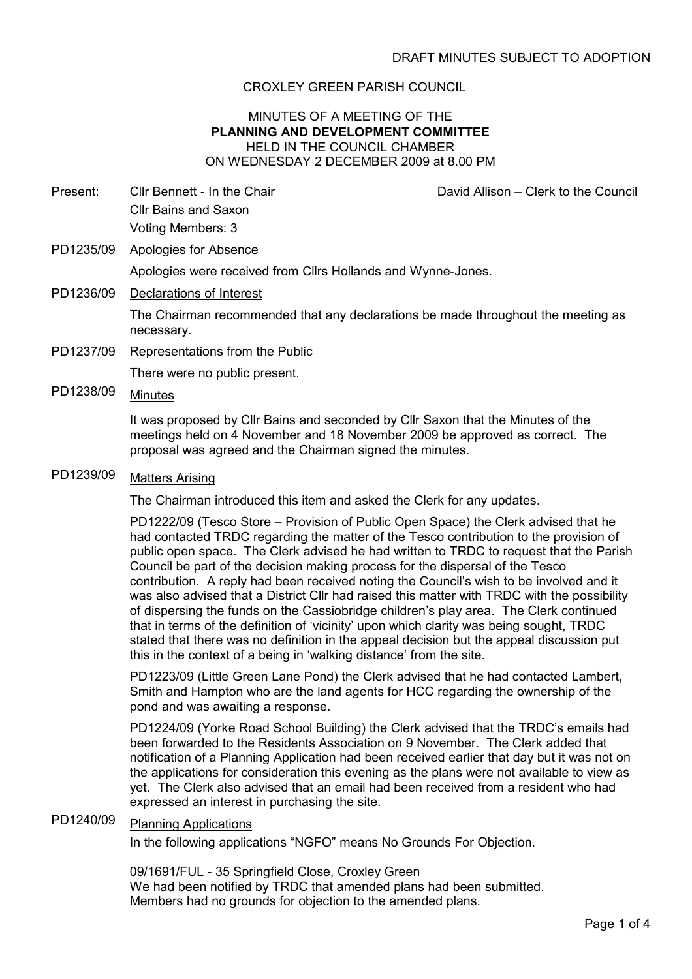## CROXLEY GREEN PARISH COUNCIL

### MINUTES OF A MEETING OF THE PLANNING AND DEVELOPMENT COMMITTEE HELD IN THE COUNCIL CHAMBER ON WEDNESDAY 2 DECEMBER 2009 at 8.00 PM

Present: Cllr Bennett - In the Chair David Allison – Clerk to the Council

- Cllr Bains and Saxon Voting Members: 3
- PD1235/09 Apologies for Absence

Apologies were received from Cllrs Hollands and Wynne-Jones.

PD1236/09 Declarations of Interest

The Chairman recommended that any declarations be made throughout the meeting as necessary.

PD1237/09 Representations from the Public

There were no public present.

PD1238/09 Minutes

It was proposed by Cllr Bains and seconded by Cllr Saxon that the Minutes of the meetings held on 4 November and 18 November 2009 be approved as correct. The proposal was agreed and the Chairman signed the minutes.

PD1239/09 Matters Arising

The Chairman introduced this item and asked the Clerk for any updates.

PD1222/09 (Tesco Store – Provision of Public Open Space) the Clerk advised that he had contacted TRDC regarding the matter of the Tesco contribution to the provision of public open space. The Clerk advised he had written to TRDC to request that the Parish Council be part of the decision making process for the dispersal of the Tesco contribution. A reply had been received noting the Council's wish to be involved and it was also advised that a District Cllr had raised this matter with TRDC with the possibility of dispersing the funds on the Cassiobridge children's play area. The Clerk continued that in terms of the definition of 'vicinity' upon which clarity was being sought, TRDC stated that there was no definition in the appeal decision but the appeal discussion put this in the context of a being in 'walking distance' from the site.

PD1223/09 (Little Green Lane Pond) the Clerk advised that he had contacted Lambert, Smith and Hampton who are the land agents for HCC regarding the ownership of the pond and was awaiting a response.

PD1224/09 (Yorke Road School Building) the Clerk advised that the TRDC's emails had been forwarded to the Residents Association on 9 November. The Clerk added that notification of a Planning Application had been received earlier that day but it was not on the applications for consideration this evening as the plans were not available to view as yet. The Clerk also advised that an email had been received from a resident who had expressed an interest in purchasing the site.

# PD1240/09 Planning Applications

In the following applications "NGFO" means No Grounds For Objection.

09/1691/FUL - 35 Springfield Close, Croxley Green We had been notified by TRDC that amended plans had been submitted. Members had no grounds for objection to the amended plans.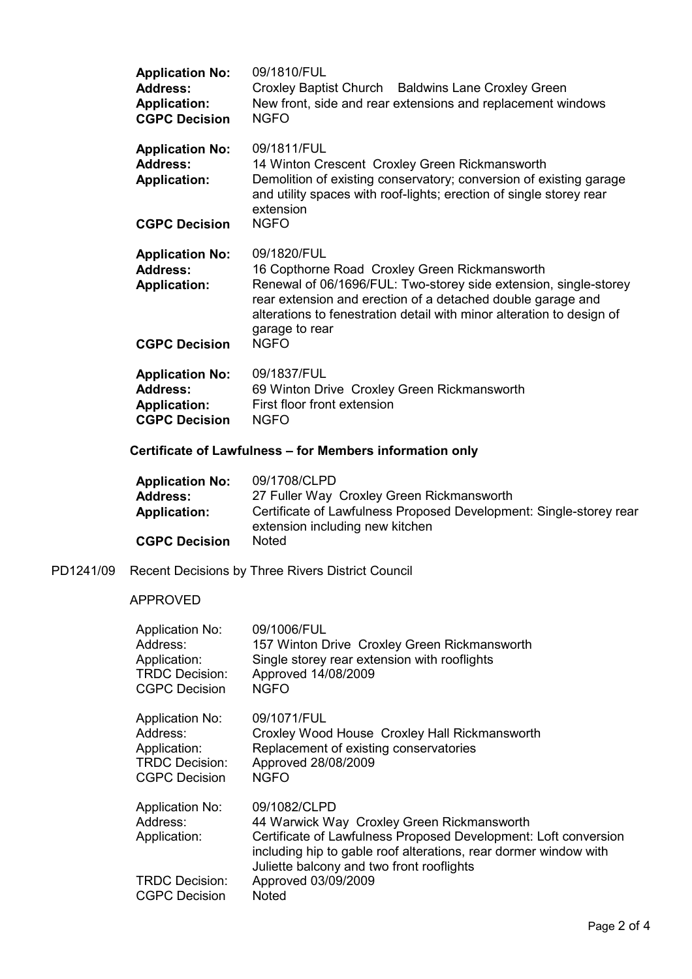| <b>Application No:</b><br><b>Address:</b><br><b>Application:</b><br><b>CGPC Decision</b> | 09/1810/FUL<br>Croxley Baptist Church Baldwins Lane Croxley Green<br>New front, side and rear extensions and replacement windows<br><b>NGFO</b>                                                                                                                                                           |
|------------------------------------------------------------------------------------------|-----------------------------------------------------------------------------------------------------------------------------------------------------------------------------------------------------------------------------------------------------------------------------------------------------------|
| <b>Application No:</b><br><b>Address:</b><br><b>Application:</b>                         | 09/1811/FUL<br>14 Winton Crescent Croxley Green Rickmansworth<br>Demolition of existing conservatory; conversion of existing garage<br>and utility spaces with roof-lights; erection of single storey rear<br>extension                                                                                   |
| <b>CGPC Decision</b>                                                                     | <b>NGFO</b>                                                                                                                                                                                                                                                                                               |
| <b>Application No:</b><br><b>Address:</b><br><b>Application:</b><br><b>CGPC Decision</b> | 09/1820/FUL<br>16 Copthorne Road Croxley Green Rickmansworth<br>Renewal of 06/1696/FUL: Two-storey side extension, single-storey<br>rear extension and erection of a detached double garage and<br>alterations to fenestration detail with minor alteration to design of<br>garage to rear<br><b>NGFO</b> |
| <b>Application No:</b><br><b>Address:</b><br><b>Application:</b><br><b>CGPC Decision</b> | 09/1837/FUL<br>69 Winton Drive Croxley Green Rickmansworth<br>First floor front extension<br><b>NGFO</b>                                                                                                                                                                                                  |

## Certificate of Lawfulness – for Members information only

| <b>Application No:</b> | 09/1708/CLPD                                                                                          |
|------------------------|-------------------------------------------------------------------------------------------------------|
| <b>Address:</b>        | 27 Fuller Way Croxley Green Rickmansworth                                                             |
| <b>Application:</b>    | Certificate of Lawfulness Proposed Development: Single-storey rear<br>extension including new kitchen |
| <b>CGPC Decision</b>   | <b>Noted</b>                                                                                          |

# PD1241/09 Recent Decisions by Three Rivers District Council

### APPROVED

| <b>Application No:</b>                             | 09/1006/FUL                                                                                                                                                                                                                                    |
|----------------------------------------------------|------------------------------------------------------------------------------------------------------------------------------------------------------------------------------------------------------------------------------------------------|
| Address:                                           | 157 Winton Drive Croxley Green Rickmansworth                                                                                                                                                                                                   |
| Application:                                       | Single storey rear extension with rooflights                                                                                                                                                                                                   |
| <b>TRDC Decision:</b>                              | Approved 14/08/2009                                                                                                                                                                                                                            |
| <b>CGPC Decision</b>                               | <b>NGFO</b>                                                                                                                                                                                                                                    |
| <b>Application No:</b>                             | 09/1071/FUL                                                                                                                                                                                                                                    |
| Address:                                           | Croxley Wood House Croxley Hall Rickmansworth                                                                                                                                                                                                  |
| Application:                                       | Replacement of existing conservatories                                                                                                                                                                                                         |
| <b>TRDC Decision:</b>                              | Approved 28/08/2009                                                                                                                                                                                                                            |
| <b>CGPC Decision</b>                               | <b>NGFO</b>                                                                                                                                                                                                                                    |
| <b>Application No:</b><br>Address:<br>Application: | 09/1082/CLPD<br>44 Warwick Way Croxley Green Rickmansworth<br>Certificate of Lawfulness Proposed Development: Loft conversion<br>including hip to gable roof alterations, rear dormer window with<br>Juliette balcony and two front rooflights |
| <b>TRDC Decision:</b>                              | Approved 03/09/2009                                                                                                                                                                                                                            |
| <b>CGPC Decision</b>                               | <b>Noted</b>                                                                                                                                                                                                                                   |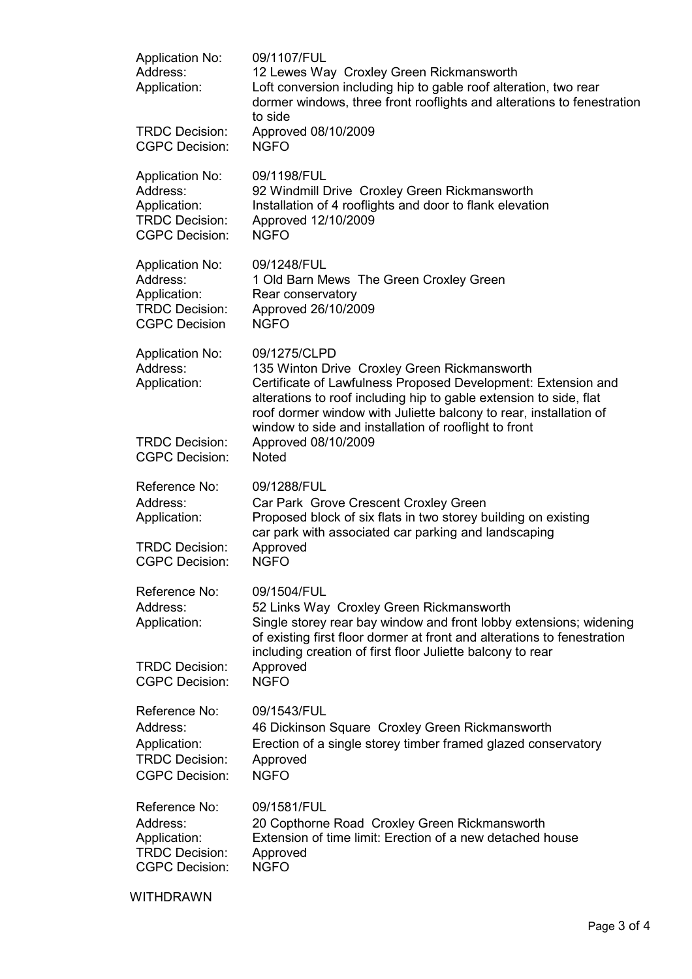| <b>Application No:</b><br>Address:<br>Application:<br><b>TRDC Decision:</b><br><b>CGPC Decision:</b> | 09/1107/FUL<br>12 Lewes Way Croxley Green Rickmansworth<br>Loft conversion including hip to gable roof alteration, two rear<br>dormer windows, three front rooflights and alterations to fenestration<br>to side<br>Approved 08/10/2009<br><b>NGFO</b>                                                                                                   |
|------------------------------------------------------------------------------------------------------|----------------------------------------------------------------------------------------------------------------------------------------------------------------------------------------------------------------------------------------------------------------------------------------------------------------------------------------------------------|
| <b>Application No:</b><br>Address:<br>Application:<br><b>TRDC Decision:</b><br><b>CGPC Decision:</b> | 09/1198/FUL<br>92 Windmill Drive Croxley Green Rickmansworth<br>Installation of 4 rooflights and door to flank elevation<br>Approved 12/10/2009<br><b>NGFO</b>                                                                                                                                                                                           |
| <b>Application No:</b><br>Address:<br>Application:<br><b>TRDC Decision:</b><br><b>CGPC Decision</b>  | 09/1248/FUL<br>1 Old Barn Mews The Green Croxley Green<br>Rear conservatory<br>Approved 26/10/2009<br><b>NGFO</b>                                                                                                                                                                                                                                        |
| <b>Application No:</b><br>Address:<br>Application:<br><b>TRDC Decision:</b>                          | 09/1275/CLPD<br>135 Winton Drive Croxley Green Rickmansworth<br>Certificate of Lawfulness Proposed Development: Extension and<br>alterations to roof including hip to gable extension to side, flat<br>roof dormer window with Juliette balcony to rear, installation of<br>window to side and installation of rooflight to front<br>Approved 08/10/2009 |
| <b>CGPC Decision:</b>                                                                                | Noted                                                                                                                                                                                                                                                                                                                                                    |
| Reference No:<br>Address:<br>Application:                                                            | 09/1288/FUL<br>Car Park Grove Crescent Croxley Green<br>Proposed block of six flats in two storey building on existing<br>car park with associated car parking and landscaping                                                                                                                                                                           |
| <b>TRDC Decision:</b><br><b>CGPC Decision:</b>                                                       | Approved<br><b>NGFO</b>                                                                                                                                                                                                                                                                                                                                  |
| Reference No:<br>Address:<br>Application:<br><b>TRDC Decision:</b>                                   | 09/1504/FUL<br>52 Links Way Croxley Green Rickmansworth<br>Single storey rear bay window and front lobby extensions; widening<br>of existing first floor dormer at front and alterations to fenestration<br>including creation of first floor Juliette balcony to rear<br>Approved                                                                       |
| <b>CGPC Decision:</b>                                                                                | <b>NGFO</b>                                                                                                                                                                                                                                                                                                                                              |
| Reference No:<br>Address:<br>Application:<br><b>TRDC Decision:</b><br><b>CGPC Decision:</b>          | 09/1543/FUL<br>46 Dickinson Square Croxley Green Rickmansworth<br>Erection of a single storey timber framed glazed conservatory<br>Approved<br><b>NGFO</b>                                                                                                                                                                                               |
| Reference No:<br>Address:<br>Application:<br><b>TRDC Decision:</b><br><b>CGPC Decision:</b>          | 09/1581/FUL<br>20 Copthorne Road Croxley Green Rickmansworth<br>Extension of time limit: Erection of a new detached house<br>Approved<br><b>NGFO</b>                                                                                                                                                                                                     |

WITHDRAWN